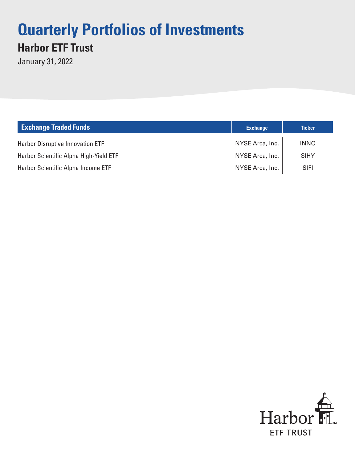# **Quarterly Portfolios of Investments Harbor ETF Trust**

January 31, 2022

| <b>Exchange Traded Funds</b>            | <b>Exchange</b> | <b>Ticker</b> |
|-----------------------------------------|-----------------|---------------|
| <b>Harbor Disruptive Innovation ETF</b> | NYSE Arca, Inc. | <b>INNO</b>   |
| Harbor Scientific Alpha High-Yield ETF  | NYSE Arca, Inc. | <b>SIHY</b>   |
| Harbor Scientific Alpha Income ETF      | NYSE Arca, Inc. | <b>SIFI</b>   |

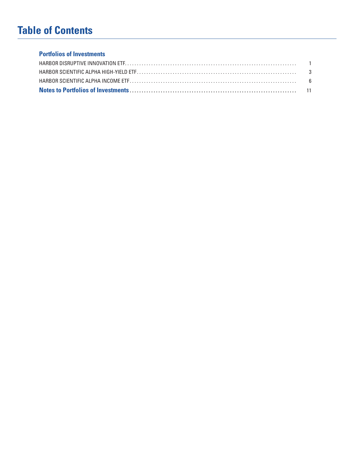# **Table of Contents**

### **[Portfolios of Investments](#page-3-0)**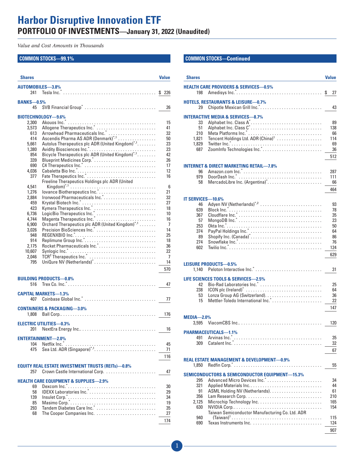# <span id="page-3-0"></span>**Harbor Disruptive Innovation ETF PORTFOLIO OF INVESTMENTS—January 31, 2022 (Unaudited)**

*Value and Cost Amounts in Thousands*

### **COMMON STOCKS—99.1%**

| <b>Shares</b>     |                                                          | Value    |
|-------------------|----------------------------------------------------------|----------|
|                   | AUTOMOBILES-3.8%                                         |          |
| 241               |                                                          |          |
|                   |                                                          |          |
| <b>BANKS-0.5%</b> |                                                          |          |
| 45                | SVB Financial Group <sup>*</sup>                         | 26       |
|                   | BIOTECHNOLOGY-9.6%                                       |          |
| 2,300             |                                                          | 15       |
| 3,573             |                                                          | 41       |
| 613               |                                                          | 32       |
| 414               | Ascendis Pharma AS ADR (Denmark) <sup>*,1</sup>          | 50       |
| 5,661             | Autolus Therapeutics plc ADR (United Kingdom)*,1         | 23       |
| 1,380             |                                                          | 23       |
| 854               | Bicycle Therapeutics plc ADR (United Kingdom)*,1         | 42       |
| 339               | Blueprint Medicines Corp. *                              | 26       |
| 690               | C4 Therapeutics Inc. <sup>*</sup>                        | 17       |
| 4,036<br>377      | Fate Therapeutics Inc. <sup>*</sup>                      | 12<br>16 |
|                   | Freeline Therapeutics Holdings plc ADR (United           |          |
| 4,541             |                                                          | 6        |
| 1,276             |                                                          | 21       |
| 2,884             |                                                          | 32       |
| 459               |                                                          | 27       |
| 423               |                                                          | 18       |
| 6,736             |                                                          | 10       |
| 4,744             |                                                          | 16       |
| 6,900             | Orchard Therapeutics plc ADR (United Kingdom)*,1         | 7        |
| 3.026             | Precision BioSciences Inc. <sup>*</sup>                  | 14       |
| 948               |                                                          | 25       |
| 914               |                                                          | 18       |
| 2,175             | Rocket Pharmaceuticals Inc. <sup>*</sup>                 | 36       |
| 10,607            |                                                          | 22       |
| 2,046             | TCR <sup>2</sup> Therapeutics Inc. <sup>*</sup>          | 7        |
| 795               | UniQure NV (Netherlands) <sup>*</sup>                    | 14       |
|                   |                                                          | 570      |
|                   | <b>BUILDING PRODUCTS-0.8%</b>                            |          |
| 516               |                                                          | 47       |
|                   |                                                          |          |
|                   | <b>CAPITAL MARKETS-1.3%</b>                              |          |
| 407               |                                                          | 77       |
|                   | <b>CONTAINERS &amp; PACKAGING-3.0%</b>                   |          |
| 1,808             |                                                          | 176      |
|                   |                                                          |          |
|                   | <b>ELECTRIC UTILITIES-0.3%</b>                           |          |
| 201               |                                                          | 16       |
|                   | <b>ENTERTAINMENT-2.0%</b>                                |          |
| 104               |                                                          | 45       |
| 475               | Sea Ltd. ADR (Singapore) <sup>*,1</sup>                  | 71       |
|                   |                                                          | 116      |
|                   |                                                          |          |
|                   | <b>EQUITY REAL ESTATE INVESTMENT TRUSTS (REITs)-0.8%</b> |          |
| 257               | Crown Castle International Corp.                         | 47       |
|                   |                                                          |          |
|                   | <b>HEALTH CARE EQUIPMENT &amp; SUPPLIES-2.9%</b>         |          |
| 69<br>58          | IDEXX Laboratories Inc. <sup>*</sup>                     | 30<br>29 |
| 139               |                                                          | 34       |
| 85                |                                                          | 19       |
| 293               | Tandem Diabetes Care Inc. <sup>*</sup>                   | 35       |
| 68                |                                                          | 27       |
|                   |                                                          | 174      |
|                   |                                                          |          |

### **COMMON STOCKS—Continued**

| <b>Shares</b>     |                                                                                                       | <b>Value</b> |
|-------------------|-------------------------------------------------------------------------------------------------------|--------------|
| 198               | <b>HEALTH CARE PROVIDERS &amp; SERVICES-0.5%</b>                                                      | 27           |
| 29                | <b>HOTELS, RESTAURANTS &amp; LEISURE-0.7%</b><br>Chipotle Mexican Grill Inc. <sup>*</sup>             | 43           |
|                   | <b>INTERACTIVE MEDIA &amp; SERVICES-8.7%</b>                                                          |              |
| 33                | Alphabet Inc. Class A*                                                                                | 89           |
| 51<br>210         | Alphabet Inc. Class C*                                                                                | 138<br>66    |
| 1,821             | Tencent Holdings Ltd. ADR (China) <sup>1</sup>                                                        | 114          |
| 1,829<br>687      | ZoomInfo Technologies Inc.*                                                                           | 69<br>36     |
|                   |                                                                                                       | 512          |
|                   |                                                                                                       |              |
| 96                | <b>INTERNET &amp; DIRECT MARKETING RETAIL-7.8%</b>                                                    | 287          |
| 979               |                                                                                                       | 111          |
| 58                | MercadoLibre Inc. (Argentina) <sup>*</sup>                                                            | 66           |
|                   |                                                                                                       | 464          |
| IT SERVICES-10.6% |                                                                                                       |              |
| 46                | Adyen NV (Netherlands) <sup>*,2</sup>                                                                 | 93           |
| 639<br>367        |                                                                                                       | 78<br>35     |
| 57                |                                                                                                       | 23           |
| 253               |                                                                                                       | 50           |
| 374<br>89         | Shopify Inc. (Canada) <sup>*</sup>                                                                    | 64<br>86     |
| 274               |                                                                                                       | 76           |
| 602               |                                                                                                       | 124          |
|                   |                                                                                                       | 629          |
|                   | <b>LEISURE PRODUCTS-0.5%</b>                                                                          |              |
| 1.140             |                                                                                                       | 31           |
|                   | LIFE SCIENCES TOOLS & SERVICES-2.5%                                                                   |              |
| 42<br>238         | Bio-Rad Laboratories Inc. <sup>*</sup>                                                                | 25<br>64     |
| 53                | Lonza Group AG (Switzerland).                                                                         | 36           |
| 15                |                                                                                                       | 22           |
|                   |                                                                                                       | 147          |
| MEDIA-2.0%        |                                                                                                       |              |
| 3.595             |                                                                                                       | 120          |
|                   | <b>PHARMACEUTICALS-1.1%</b>                                                                           |              |
| 491<br>309        |                                                                                                       | 35<br>32     |
|                   |                                                                                                       | 67           |
|                   |                                                                                                       |              |
| 1.850             | <b>REAL ESTATE MANAGEMENT &amp; DEVELOPMENT-0.9%</b>                                                  | 55           |
|                   |                                                                                                       |              |
| 295               | <b>SEMICONDUCTORS &amp; SEMICONDUCTOR EQUIPMENT-15.3%</b><br>Advanced Micro Devices Inc. <sup>*</sup> | 34           |
| 321               | Applied Materials Inc                                                                                 | 44           |
| 91                | ASML Holding NV (Netherlands)                                                                         | 61           |
| 356<br>2,125      |                                                                                                       | 210<br>165   |
| 630               |                                                                                                       | 154          |
|                   | Taiwan Semiconductor Manufacturing Co. Ltd. ADR                                                       |              |
| 940<br>690        |                                                                                                       | 115<br>124   |
|                   |                                                                                                       | 907          |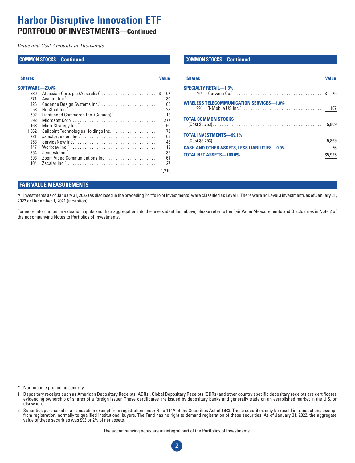# **Harbor Disruptive Innovation ETF PORTFOLIO OF INVESTMENTS—Continued**

#### *Value and Cost Amounts in Thousands*

#### **COMMON STOCKS—Continued**

| <b>Shares</b>  |                                                                                                                | Value |
|----------------|----------------------------------------------------------------------------------------------------------------|-------|
| SOFTWARE-20.4% |                                                                                                                |       |
| 330            |                                                                                                                | 107   |
| 271            |                                                                                                                | 30    |
| 426            | Cadence Design Systems Inc.*                                                                                   | 65    |
| 58             |                                                                                                                | 28    |
| 592            | Lightspeed Commerce Inc. (Canada) <sup>*</sup>                                                                 | 19    |
| 892            |                                                                                                                | 277   |
| 163            | MicroStrategy Inc. <sup>*</sup>                                                                                | 60    |
| 1.862          | Sailpoint Technologies Holdings Inc.*                                                                          | 72    |
| 721            | salesforce.com $\ln c$ , $\ldots$ , $\ldots$ , $\ldots$ , $\ldots$ , $\ldots$ , $\ldots$ , $\ldots$ , $\ldots$ | 168   |
| 253            |                                                                                                                | 148   |
| 447            |                                                                                                                | 113   |
| 354            |                                                                                                                | 35    |
| 393            |                                                                                                                | 61    |
| 104            | Zscaler Inc."                                                                                                  | 27    |
|                |                                                                                                                |       |

#### **COMMON STOCKS—Continued**

| <b>Shares</b>                                                                     | Value |
|-----------------------------------------------------------------------------------|-------|
| <b>SPECIALTY RETAIL-1.3%</b>                                                      |       |
| <b>WIRELESS TELECOMMUNICATION SERVICES-1.8%</b>                                   |       |
| <b>TOTAL COMMON STOCKS</b>                                                        |       |
| <b>TOTAL INVESTMENTS-99.1%</b><br>CASH AND OTHER ASSETS, LESS LIABILITIES-0.9% 56 |       |
|                                                                                   |       |

#### **FAIR VALUE MEASUREMENTS**

All investments as of January 31, 2022 (as disclosed in the preceding Portfolio of Investments) were classified as Level 1. There were no Level 3 investments as of January 31, 2022 or December 1, 2021 (inception).

For more information on valuation inputs and their aggregation into the levels identified above, please refer to the Fair Value Measurements and Disclosures in Note 2 of the accompanying Notes to Portfolios of Investments.

The accompanying notes are an integral part of the Portfolios of Investments.

<sup>\*</sup> Non-income producing security

<sup>1</sup> Depositary receipts such as American Depositary Receipts (ADRs), Global Depositary Receipts (GDRs) and other country specific depositary receipts are certificates evidencing ownership of shares of a foreign issuer. These certificates are issued by depositary banks and generally trade on an established market in the U.S. or elsewhere.

<sup>2</sup> Securities purchased in a transaction exempt from registration under Rule 144A of the Securities Act of 1933. These securities may be resold in transactions exempt from registration, normally to qualified institutional buyers. The Fund has no right to demand registration of these securities. As of January 31, 2022, the aggregate value of these securities was \$93 or 2% of net assets.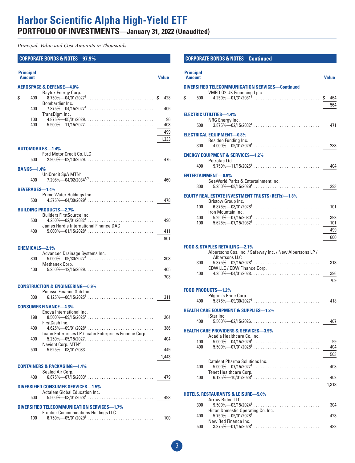# <span id="page-5-0"></span>**Harbor Scientific Alpha High-Yield ETF PORTFOLIO OF INVESTMENTS—January 31, 2022 (Unaudited)**

*Principal, Value and Cost Amounts in Thousands*

### **CORPORATE BONDS & NOTES—97.9%**

| <b>Principal</b><br><b>Amount</b> |                                                                                            | <b>Value</b> |
|-----------------------------------|--------------------------------------------------------------------------------------------|--------------|
|                                   | <b>AEROSPACE &amp; DEFENSE-4.0%</b>                                                        |              |
| \$<br>400                         | Baytex Energy Corp.<br>$8.750\%$ —04/01/2027 <sup>1</sup> \$                               | 428          |
| 400                               | Bombardier Inc.<br>$7.875\%$ —04/15/2027 <sup>1</sup>                                      | 406          |
| 100                               | TransDigm Inc.                                                                             | 96           |
| 400                               | $5.500\%$ - 11/15/2027                                                                     | 403          |
|                                   |                                                                                            | 499          |
|                                   |                                                                                            | 1,333        |
|                                   | <b>AUTOMOBILES-1.4%</b>                                                                    |              |
|                                   | Ford Motor Credit Co. LLC                                                                  |              |
| 500                               | $2.900\%$ - 02/10/2029                                                                     | 475          |
| <b>BANKS-1.4%</b>                 |                                                                                            |              |
|                                   | UniCredit SpA MTN <sup>2</sup>                                                             |              |
| 400                               |                                                                                            | 460          |
|                                   | <b>BEVERAGES-1.4%</b>                                                                      |              |
| 500                               | Primo Water Holdings Inc.                                                                  | 478          |
|                                   |                                                                                            |              |
|                                   | <b>BUILDING PRODUCTS-2.7%</b>                                                              |              |
| 500                               | Builders FirstSource Inc.                                                                  | 490          |
|                                   | James Hardie International Finance DAC                                                     |              |
| 400                               |                                                                                            | 411          |
|                                   |                                                                                            | 901          |
|                                   | CHEMICALS-2.1%                                                                             |              |
|                                   | Advanced Drainage Systems Inc.                                                             |              |
| 300                               | Methanex Corp.                                                                             | 303          |
| 400                               | $5.250\% - 12/15/2029$                                                                     | 405          |
|                                   |                                                                                            | 708          |
|                                   | <b>CONSTRUCTION &amp; ENGINEERING-0.9%</b>                                                 |              |
|                                   | Picasso Finance Sub Inc.                                                                   |              |
| 300                               |                                                                                            | 311          |
|                                   | <b>CONSUMER FINANCE-4.3%</b>                                                               |              |
|                                   | Enova International Inc.                                                                   |              |
| 198                               |                                                                                            | 204          |
| 400                               | FirstCash Inc.<br>$4.625\%$ —09/01/2028 <sup>1</sup>                                       | 386          |
|                                   | Icahn Enterprises LP / Icahn Enterprises Finance Corp                                      |              |
| 400                               | $5.250\%$ - 05/15/2027                                                                     | 404          |
| 500                               | Navient Corp. MTN <sup>2</sup>                                                             | 449          |
|                                   |                                                                                            | 1,443        |
|                                   |                                                                                            |              |
|                                   | <b>CONTAINERS &amp; PACKAGING-1.4%</b><br>Sealed Air Corp.                                 |              |
| 400                               |                                                                                            | 479          |
|                                   | DIVERSIFIED CONSUMER SERVICES-1.5%                                                         |              |
| 500                               | Adtalem Global Education Inc.                                                              | 493          |
|                                   |                                                                                            |              |
|                                   | DIVERSIFIED TELECOMMUNICATION SERVICES-1.7%<br><b>Frontier Communications Holdings LLC</b> |              |
| 100                               |                                                                                            | 100          |
|                                   |                                                                                            |              |

| <b>Principal</b><br><b>Amount</b>                 |                                                                                                              | <b>Value</b>    |
|---------------------------------------------------|--------------------------------------------------------------------------------------------------------------|-----------------|
|                                                   | <b>DIVERSIFIED TELECOMMUNICATION SERVICES-Continued</b>                                                      |                 |
| \$<br>500                                         | VMED 02 UK Financing I plc<br>$4.250\% - 01/31/2031^1 \dots \dots \dots \dots \dots \dots \dots \dots \dots$ | S<br>464<br>564 |
| <b>ELECTRIC UTILITIES-1.4%</b><br>NRG Energy Inc. |                                                                                                              |                 |
| 500                                               |                                                                                                              | 471             |
| <b>ELECTRICAL EQUIPMENT-0.8%</b><br>300           | Resideo Funding Inc.                                                                                         | 283             |
| <b>ENERGY EQUIPMENT &amp; SERVICES-1.2%</b>       |                                                                                                              |                 |
| Petrofac Ltd.<br>400                              | $9.750\%$ —11/15/2026 <sup>1</sup>                                                                           | 404             |
| <b>ENTERTAINMENT-0.9%</b>                         |                                                                                                              |                 |
| 300                                               | SeaWorld Parks & Entertainment Inc.                                                                          | 293             |
|                                                   | <b>EQUITY REAL ESTATE INVESTMENT TRUSTS (REITs)-1.8%</b>                                                     |                 |
| 100                                               | Bristow Group Inc.<br>Iron Mountain Inc.                                                                     | 101             |
| 400<br>100                                        |                                                                                                              | 398<br>101      |
|                                                   |                                                                                                              | 499             |
|                                                   |                                                                                                              | 600             |
| <b>FOOD &amp; STAPLES RETAILING-2.1%</b>          | Albertsons Cos. Inc. / Safeway Inc. / New Albertsons LP /                                                    |                 |
| 300                                               | Albertsons LLC<br>$5.875\%$ - 02/15/2028 <sup>1</sup>                                                        | 313             |
| 400                                               | CDW LLC / CDW Finance Corp.<br>$4.250\%$ - 04/01/2028                                                        | 396             |
|                                                   |                                                                                                              | 709             |
| FOOD PRODUCTS-1.2%                                | Pilgrim's Pride Corp.                                                                                        |                 |
| 400                                               |                                                                                                              | 418             |
| iStar Inc.                                        | <b>HEALTH CARE EQUIPMENT &amp; SUPPLIES-1.2%</b>                                                             |                 |
| 400                                               | $5.500\%$ - 02/15/2026                                                                                       | 407             |
|                                                   | <b>HEALTH CARE PROVIDERS &amp; SERVICES-3.9%</b><br>Acadia Healthcare Co. Inc                                |                 |
| 100<br>400                                        | $5.500\%$ —07/01/2028 <sup>1</sup>                                                                           | 99<br>404       |
|                                                   |                                                                                                              | 503             |
| 400                                               | <b>Catalent Pharma Solutions Inc.</b><br>$5.000\%$ - 07/15/2027 <sup>1</sup><br>Tenet Healthcare Corp.       | 408             |
| 400                                               |                                                                                                              | 402             |
|                                                   |                                                                                                              | 1,313           |
| Arrow Bidco LLC                                   | <b>HOTELS, RESTAURANTS &amp; LEISURE-5.0%</b>                                                                |                 |
| 300                                               | Hilton Domestic Operating Co. Inc.                                                                           | 304             |
| 400                                               |                                                                                                              | 423             |
| 500                                               | New Red Finance Inc.                                                                                         | 488             |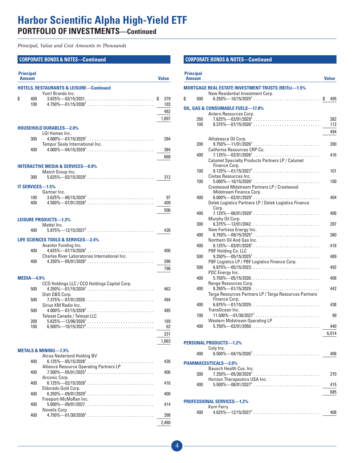# **Harbor Scientific Alpha High-Yield ETF PORTFOLIO OF INVESTMENTS—Continued**

*Principal, Value and Cost Amounts in Thousands*

#### **CORPORATE BONDS & NOTES—Continued**

| <b>Principal</b><br><b>Amount</b> |                                                                                                              | <b>Value</b>     |
|-----------------------------------|--------------------------------------------------------------------------------------------------------------|------------------|
|                                   | <b>HOTELS, RESTAURANTS &amp; LEISURE-Continued</b>                                                           |                  |
| \$<br>400<br>100                  | Yum! Brands Inc.<br>$4.750\% - 01/15/2030^1$                                                                 | \$<br>379<br>103 |
|                                   |                                                                                                              | 482              |
|                                   |                                                                                                              | 1,697            |
|                                   | <b>HOUSEHOLD DURABLES-2.0%</b><br>LGI Homes Inc.                                                             |                  |
| 300                               | Tempur Sealy International Inc.                                                                              | 284              |
| 400                               |                                                                                                              | 384              |
|                                   |                                                                                                              | 668              |
|                                   | <b>INTERACTIVE MEDIA &amp; SERVICES-0.9%</b><br>Match Group Inc.                                             |                  |
| 300                               |                                                                                                              | 312              |
|                                   | IT SERVICES-1.5%                                                                                             |                  |
| 100                               | Gartner Inc.                                                                                                 | 97               |
| 400                               |                                                                                                              | 409              |
|                                   |                                                                                                              | 506              |
|                                   | <b>LEISURE PRODUCTS-1.3%</b>                                                                                 |                  |
| 400                               | Mattel Inc.                                                                                                  | 426              |
|                                   |                                                                                                              |                  |
|                                   | LIFE SCIENCES TOOLS & SERVICES-2.4%<br>Avantor Funding Inc.                                                  |                  |
| 400                               | <b>Charles River Laboratories International Inc.</b>                                                         | 400              |
| 400                               |                                                                                                              | 398              |
|                                   |                                                                                                              | 798              |
| <b>MEDIA-4.9%</b>                 |                                                                                                              |                  |
| 500                               | CCO Holdings LLC / CCO Holdings Capital Corp.<br>Dish DBS Corp.                                              | 463              |
| 500                               | $7.375\%$ - 07/01/2028                                                                                       | 484              |
| 500                               | Sirius XM Radio Inc.                                                                                         | 485              |
|                                   | Telesat Canada / Telesat LLC                                                                                 |                  |
| 200<br>100                        | $6.500\% - 10/15/2027$ <sup>1</sup>                                                                          | 169<br>62        |
|                                   |                                                                                                              | 231              |
|                                   |                                                                                                              | 1,663            |
|                                   | <b>METALS &amp; MINING-7.3%</b>                                                                              |                  |
| 400                               | Alcoa Nederland Holding BV<br>$6.125\%$ - 05/15/2028 <sup>1</sup><br>Alliance Resource Operating Partners LP | 426              |
| 400                               | $7.500\%$ —05/01/2025 <sup>1</sup><br>Arconic Corp.                                                          | 406              |
| 400                               | Eldorado Gold Corp.                                                                                          | 416              |
| 400                               | $6.250\% - 09/01/2029$ <sup>1</sup><br>Freeport-McMoRan Inc.                                                 | 400              |
| 400                               | $5.000\%$ - 09/01/2027<br>Novelis Corp.                                                                      | 414              |
| 400                               |                                                                                                              | 398              |
|                                   |                                                                                                              | 2,460            |

| <b>Principal</b><br><b>Amount</b> |                                                                                                | <b>Value</b> |
|-----------------------------------|------------------------------------------------------------------------------------------------|--------------|
|                                   | <b>MORTGAGE REAL ESTATE INVESTMENT TRUSTS (REITs)-1.5%</b><br>New Residential Investment Corp. |              |
| \$<br>500                         |                                                                                                | \$<br>495    |
|                                   | <b>OIL, GAS &amp; CONSUMABLE FUELS-17.8%</b><br>Antero Resources Corp.                         |              |
| 350                               | $7.625\%$ —02/01/2029 <sup>1</sup>                                                             | 382          |
| 100                               |                                                                                                | 112          |
|                                   |                                                                                                | 494          |
|                                   | Athabasca Oil Corp.                                                                            |              |
| 200                               |                                                                                                | 200          |
|                                   | California Resources CRP Co.                                                                   |              |
| 400                               | $7.125\%$ —02/01/2026 <sup>1</sup>                                                             | 416          |
|                                   | Calumet Specialty Products Partners LP / Calumet                                               |              |
| 100                               | Finance Corp.<br>$8.125\% - 01/15/2027$ <sup>1</sup>                                           | 101          |
|                                   | Civitas Resources Inc.                                                                         |              |
| 100                               |                                                                                                | 100          |
|                                   | Crestwood Midstream Partners LP / Crestwood                                                    |              |
|                                   | Midstream Finance Corp.                                                                        |              |
| 400                               |                                                                                                | 404          |
|                                   | Delek Logistics Partners LP / Delek Logistics Finance                                          |              |
| 400                               | Corp.<br>$7.125\%$ - 06/01/2028 <sup>1</sup>                                                   | 406          |
|                                   | Murphy Oil Corp.                                                                               |              |
| 300                               | $6.375\%$ - 12/01/2042                                                                         | 287          |
|                                   | New Fortress Energy Inc.                                                                       |              |
| 400                               |                                                                                                | 380          |
|                                   | Northern Oil And Gas Inc.                                                                      |              |
| 400                               |                                                                                                | 418          |
| 500                               | PBF Holding Co. LLC                                                                            | 489          |
|                                   | PBF Logistics LP / PBF Logistics Finance Corp.                                                 |              |
| 500                               | $6.875\%$ - 05/15/2023                                                                         | 492          |
|                                   | PDC Energy Inc.                                                                                |              |
| 400                               | $5.750\%$ - 05/15/2026                                                                         | 408          |
|                                   | Range Resources Corp.                                                                          |              |
| 400                               | $8.250\%$ - 01/15/2029<br>Targa Resources Partners LP / Targa Resources Partners               | 442          |
|                                   | Finance Corp.                                                                                  |              |
| 400                               | $6.875\%$ - 01/15/2029                                                                         | 438          |
|                                   | TransOcean Inc.                                                                                |              |
| 100                               |                                                                                                | 99           |
|                                   | <b>Western Midstream Operating LP</b>                                                          |              |
| 400                               | $5.750\%$ —02/01/2050                                                                          | 440          |
|                                   |                                                                                                | 6,014        |
|                                   | <b>PERSONAL PRODUCTS-1.2%</b>                                                                  |              |
|                                   | Coty Inc.                                                                                      |              |
| 400                               |                                                                                                | 406          |
|                                   | <b>PHARMACEUTICALS-2.0%</b>                                                                    |              |
|                                   | Bausch Health Cos. Inc.                                                                        |              |
| 300                               | $7.250\%$ —05/30/2029 <sup>1</sup>                                                             | 270          |
|                                   | Horizon Therapeutics USA Inc.                                                                  |              |
| 400                               |                                                                                                | 415          |
|                                   |                                                                                                | 685          |
|                                   | <b>PROFESSIONAL SERVICES-1.2%</b>                                                              |              |
|                                   | Korn Ferry                                                                                     |              |
| 400                               |                                                                                                | 408          |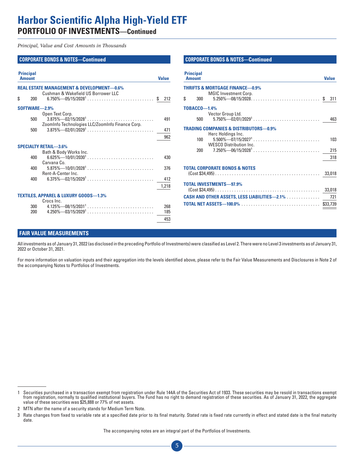# **Harbor Scientific Alpha High-Yield ETF PORTFOLIO OF INVESTMENTS—Continued**

*Principal, Value and Cost Amounts in Thousands*

#### **CORPORATE BONDS & NOTES—Continued**

| <b>Principal</b><br><b>Amount</b> |                                                                                             | <b>Value</b>      | <b>Principal</b><br><b>Amount</b>                                                                               | <b>Value</b> |
|-----------------------------------|---------------------------------------------------------------------------------------------|-------------------|-----------------------------------------------------------------------------------------------------------------|--------------|
| S.<br>200                         | <b>REAL ESTATE MANAGEMENT &amp; DEVELOPMENT-0.6%</b><br>Cushman & Wakefield US Borrower LLC |                   | <b>THRIFTS &amp; MORTGAGE FINANCE-0.9%</b><br>MGIC Investment Corp.<br>$5.250\%$ -08/15/2028\$ 311<br>\$<br>300 |              |
| SOFTWARE-2.9%<br>500              | Open Text Corp.                                                                             | 491               | <b>TOBACCO-1.4%</b><br>Vector Group Ltd.<br>500                                                                 |              |
| 500                               | ZoomInfo Technologies LLC/ZoomInfo Finance Corp.                                            | 962               | <b>TRADING COMPANIES &amp; DISTRIBUTORS-0.9%</b><br>Herc Holdings Inc.<br>100                                   | 103          |
| 400                               | <b>SPECIALTY RETAIL-3.6%</b><br>Bath & Body Works Inc.                                      | 430               | <b>WESCO Distribution Inc.</b><br>200                                                                           | 215<br>318   |
| 400                               | Carvana Co.<br>Rent-A-Center Inc.                                                           | 376               | <b>TOTAL CORPORATE BONDS &amp; NOTES</b>                                                                        |              |
| 400                               |                                                                                             | 412<br>1,218      | <b>TOTAL INVESTMENTS-97.9%</b>                                                                                  |              |
| 300<br>200                        | <b>TEXTILES, APPAREL &amp; LUXURY GOODS-1.3%</b><br>Crocs Inc.                              | 268<br>185<br>453 | CASH AND OTHER ASSETS, LESS LIABILITIES-2.1% 721                                                                |              |

**CORPORATE BONDS & NOTES—Continued**

318

#### **FAIR VALUE MEASUREMENTS**

All investments as of January 31, 2022 (as disclosed in the preceding Portfolio of Investments) were classified as Level 2. There were no Level 3 investments as of January 31, 2022 or October 31, 2021.

For more information on valuation inputs and their aggregation into the levels identified above, please refer to the Fair Value Measurements and Disclosures in Note 2 of the accompanying Notes to Portfolios of Investments.

The accompanying notes are an integral part of the Portfolios of Investments.

<sup>1</sup> Securities purchased in a transaction exempt from registration under Rule 144A of the Securities Act of 1933. These securities may be resold in transactions exempt from registration, normally to qualified institutional buyers. The Fund has no right to demand registration of these securities. As of January 31, 2022, the aggregate value of these securities was \$25,888 or 77% of net assets.

<sup>2</sup> MTN after the name of a security stands for Medium Term Note.

<sup>3</sup> Rate changes from fixed to variable rate at a specified date prior to its final maturity. Stated rate is fixed rate currently in effect and stated date is the final maturity date.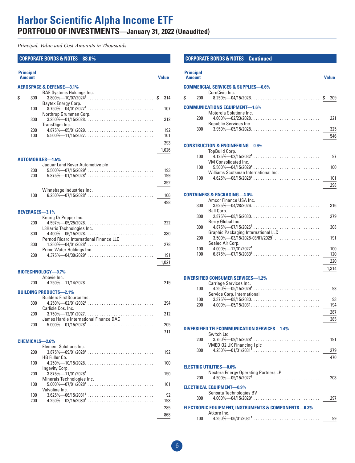# <span id="page-8-0"></span>**Harbor Scientific Alpha Income ETF PORTFOLIO OF INVESTMENTS—January 31, 2022 (Unaudited)**

*Principal, Value and Cost Amounts in Thousands*

### **CORPORATE BONDS & NOTES—88.0%**

| <b>Principal</b><br><b>Amount</b> |                                                                           | <b>Value</b>    |
|-----------------------------------|---------------------------------------------------------------------------|-----------------|
|                                   | <b>AEROSPACE &amp; DEFENSE-3.1%</b>                                       |                 |
| \$<br>300                         | <b>BAE Systems Holdings Inc.</b><br>$3.800\%$ —10/07/2024 <sup>1</sup> \$ | 314             |
| 100                               | Baytex Energy Corp.                                                       | 107             |
|                                   | Northrop Grumman Corp.<br>$3.250\%$ - 01/15/2028                          |                 |
| 300                               | TransDigm Inc.                                                            | 312             |
| 200                               |                                                                           | 192             |
| 100                               | $5.500\%$ - 11/15/2027                                                    | 101<br>293      |
|                                   |                                                                           | 1,026           |
|                                   | AUTOMOBILES-1.5%                                                          |                 |
|                                   | Jaguar Land Rover Automotive plc                                          |                 |
| 200                               |                                                                           | 193             |
| 200                               |                                                                           | 199             |
|                                   |                                                                           | 392             |
| 100                               | Winnebago Industries Inc.<br>$6.250\% - 07/15/2028^1$                     | 106             |
|                                   |                                                                           | 498             |
|                                   | <b>BEVERAGES-3.1%</b>                                                     |                 |
|                                   | Keurig Dr Pepper Inc.                                                     |                 |
| 200                               | $4.597\%$ - 05/25/2028<br>L3Harris Technologies Inc.                      | 222             |
| 300                               | $4.400\%$ - 06/15/2028                                                    | 330             |
| 300                               | Pernod Ricard International Finance LLC                                   | 278             |
|                                   | Primo Water Holdings Inc.                                                 |                 |
| 200                               | $4.375\%$ —04/30/2029 <sup>1</sup>                                        | 191             |
|                                   |                                                                           | 1,021           |
|                                   | BIOTECHNOLOGY-0.7%                                                        |                 |
| 200                               | Abbvie Inc.                                                               | 219             |
|                                   | <b>BUILDING PRODUCTS-2.1%</b>                                             |                 |
|                                   | Builders FirstSource Inc.                                                 |                 |
| 300                               |                                                                           | 294             |
| 200                               | Carlisle Cos. Inc.                                                        | 212             |
|                                   | James Hardie International Finance DAC                                    |                 |
| 200                               |                                                                           | 205             |
|                                   |                                                                           | $\frac{711}{2}$ |
|                                   | CHEMICALS-2.6%<br>Element Solutions Inc.                                  |                 |
| 200                               |                                                                           | 192             |
| 100                               | HB Fuller Co.<br>$4.250\%$ - 10/15/2028                                   | 100             |
|                                   | Ingevity Corp.                                                            |                 |
| 200                               |                                                                           | 190             |
| 100                               | Minerals Technologies Inc.<br>$5.000\% - 07/01/2028^1$                    | 101             |
|                                   | Valvoline Inc.                                                            |                 |
| 100<br>200                        |                                                                           | 92<br>193       |
|                                   |                                                                           | 285             |
|                                   |                                                                           | 868             |

| <b>Principal</b><br><b>Amount</b> |                                                                               | Value      |
|-----------------------------------|-------------------------------------------------------------------------------|------------|
|                                   | <b>COMMERCIAL SERVICES &amp; SUPPLIES-0.6%</b>                                |            |
| \$<br>200                         | CoreCivic Inc.<br>$8.250\%$ - 04/15/2026                                      | \$<br>209  |
|                                   | <b>COMMUNICATIONS EQUIPMENT-1.6%</b>                                          |            |
| 200                               | Motorola Solutions Inc.<br>$4.600\% - 02/23/2028$                             | 221        |
| 300                               | Republic Services Inc.<br>$3.950\%$ - 05/15/2028                              | 325        |
|                                   |                                                                               | 546        |
|                                   | <b>CONSTRUCTION &amp; ENGINEERING-0.9%</b>                                    |            |
| 100                               | TopBuild Corp.                                                                | 97         |
| 100                               | <b>VM Consolidated Inc.</b>                                                   | 100        |
| 100                               | Williams Scotsman International Inc.                                          | 101        |
|                                   |                                                                               | 298        |
|                                   | <b>CONTAINERS &amp; PACKAGING-4.0%</b>                                        |            |
| 300                               | Amcor Finance USA Inc.                                                        | 316        |
| 300                               | Ball Corp.<br>$2.875\%$ - 08/15/2030                                          | 279        |
| 300                               | Berry Global Inc.                                                             | 308        |
|                                   | <b>Graphic Packaging International LLC</b>                                    |            |
| 200                               | Sealed Air Corp.                                                              | 191        |
| 100<br>100                        |                                                                               | 100<br>120 |
|                                   |                                                                               | 220        |
|                                   |                                                                               | 1,314      |
|                                   | DIVERSIFIED CONSUMER SERVICES-1.2%<br>Carriage Services Inc.                  |            |
| 100                               | $4.250\% - 05/15/2029$ <sup>1</sup><br>Service Corp. International            | 98         |
| 100                               | $3.375\%$ - 08/15/2030                                                        | 93         |
| 200                               | $4.000\%$ - 05/15/2031                                                        | 194<br>287 |
|                                   |                                                                               | 385        |
|                                   | DIVERSIFIED TELECOMMUNICATION SERVICES-1.4%                                   |            |
| 200                               | Switch Ltd.                                                                   | 191        |
| 300                               | VMED 02 UK Financing I plc                                                    | 279        |
|                                   |                                                                               | 470        |
|                                   | <b>ELECTRIC UTILITIES-0.6%</b><br><b>Nextera Energy Operating Partners LP</b> |            |
| 200                               |                                                                               | 203        |
|                                   | <b>ELECTRICAL EQUIPMENT-0.9%</b>                                              |            |
| 300                               | Sensata Technologies BV<br>$4.000\%$ —04/15/2029 <sup>1</sup>                 | 297        |
|                                   | <b>ELECTRONIC EQUIPMENT, INSTRUMENTS &amp; COMPONENTS-0.3%</b>                |            |
| 100                               | Atkore Inc.                                                                   | 99         |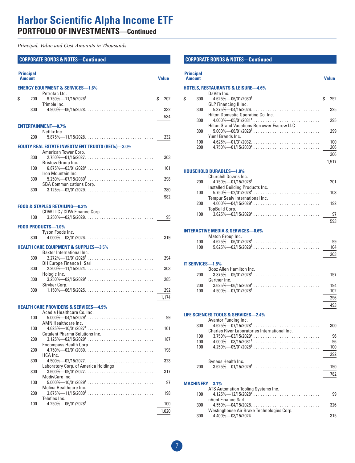*Principal, Value and Cost Amounts in Thousands*

#### **CORPORATE BONDS & NOTES—Continued**

| <b>Principal</b><br>Amount |                                                          | <b>Value</b> |
|----------------------------|----------------------------------------------------------|--------------|
|                            | <b>ENERGY EQUIPMENT &amp; SERVICES-1.6%</b>              |              |
| \$<br>200                  | Petrofac Ltd.                                            | 202          |
|                            | Trimble Inc.                                             |              |
| 300                        |                                                          | 332          |
|                            |                                                          | 534          |
|                            | <b>ENTERTAINMENT-0.7%</b>                                |              |
|                            | Netflix Inc.                                             |              |
| 200                        | $5.875\%$ - 11/15/2028                                   | 232          |
|                            | <b>EQUITY REAL ESTATE INVESTMENT TRUSTS (REITs)-3.0%</b> |              |
|                            | American Tower Corp.                                     |              |
| 300                        | $2.750\%$ - 01/15/2027                                   | 303          |
| 100                        | Bristow Group Inc.                                       | 101          |
|                            | Iron Mountain Inc.                                       |              |
| 300                        |                                                          | 298          |
|                            | <b>SBA Communications Corp.</b>                          |              |
| 300                        |                                                          | 280          |
|                            |                                                          | 982          |
|                            | <b>FOOD &amp; STAPLES RETAILING-0.3%</b>                 |              |
|                            | CDW LLC / CDW Finance Corp.                              |              |
| 100                        |                                                          | 95           |
|                            | <b>FOOD PRODUCTS-1.0%</b>                                |              |
| 300                        | Tyson Foods Inc.<br>$4.000\%$ - 03/01/2026               | 319          |
|                            |                                                          |              |
|                            | <b>HEALTH CARE EQUIPMENT &amp; SUPPLIES-3.5%</b>         |              |
| 300                        | Baxter International Inc.                                | 294          |
|                            | <b>DH Europe Finance II Sarl</b>                         |              |
| 300                        |                                                          | 303          |
| 300                        | Hologic Inc.                                             | 285          |
|                            | Stryker Corp.                                            |              |
| 300                        | $1.150\%$ - 06/15/2025                                   | 292          |
|                            |                                                          | 1,174        |
|                            | <b>HEALTH CARE PROVIDERS &amp; SERVICES-4.9%</b>         |              |
|                            | Acadia Healthcare Co. Inc.                               |              |
| 100                        | $5.000\%$ —04/15/2029 <sup>1</sup>                       | 99           |
| 100                        | AMN Healthcare Inc.                                      |              |
|                            | <b>Catalent Pharma Solutions Inc.</b>                    | 101          |
| 200                        |                                                          | 187          |
|                            | Encompass Health Corp.                                   |              |
| 200                        | $4.750\%$ —02/01/2030<br>HCA Inc.                        | 198          |
| 300                        |                                                          | 323          |
|                            | Laboratory Corp. of America Holdings                     |              |
| 300                        | $3.600\%$ - 09/01/2027<br>ModivCare Inc.                 | 317          |
| 100                        |                                                          | 97           |
|                            | Molina Healthcare Inc.                                   |              |
| 200                        |                                                          | 198          |
| 100                        | Teleflex Inc.                                            | 100          |
|                            |                                                          | 1,620        |
|                            |                                                          |              |

| <b>Principal</b><br><b>Amount</b> |                                                                                            | <b>Value</b> |
|-----------------------------------|--------------------------------------------------------------------------------------------|--------------|
|                                   | <b>HOTELS, RESTAURANTS &amp; LEISURE-4.6%</b>                                              |              |
| \$<br>300                         | DaVita Inc.                                                                                | 292<br>S     |
| 300                               | GLP Financing II Inc.<br>$5.375\%$ - 04/15/2026                                            | 325          |
| 300                               | Hilton Domestic Operating Co. Inc.<br>$4.000\%$ —05/01/2031 <sup>1</sup>                   | 295          |
| 300                               | <b>Hilton Grand Vacations Borrower Escrow LLC</b>                                          | 299          |
|                                   | Yum! Brands Inc.                                                                           |              |
| 100<br>200                        |                                                                                            | 100<br>206   |
|                                   |                                                                                            | 306          |
|                                   |                                                                                            | 1,517        |
|                                   | <b>HOUSEHOLD DURABLES-1.8%</b><br>Churchill Downs Inc.                                     |              |
| 200                               | $4.750\% - 01/15/2028^1$                                                                   | 201          |
| 100                               | Installed Building Products Inc.                                                           | 103          |
| 200                               | Tempur Sealy International Inc.<br>$4.000\%$ - 04/15/2029 <sup>1</sup>                     | 192          |
| 100                               | TopBuild Corp.<br>$3.625\% - 03/15/2029$ <sup>1</sup>                                      | 97           |
|                                   |                                                                                            | 593          |
|                                   | <b>INTERACTIVE MEDIA &amp; SERVICES-0.6%</b>                                               |              |
| 100                               | Match Group Inc.                                                                           | 99           |
| 100                               |                                                                                            | 104          |
|                                   |                                                                                            | 203          |
|                                   | <b>IT SERVICES-1.5%</b><br>Booz Allen Hamilton Inc.                                        |              |
| 200                               | $3.875\%$ —09/01/2028 <sup>1</sup>                                                         | 197          |
| 200                               | Gartner Inc.                                                                               | 194          |
| 100                               |                                                                                            | 102          |
|                                   |                                                                                            | 296          |
|                                   |                                                                                            | 493          |
|                                   | LIFE SCIENCES TOOLS & SERVICES-2.4%<br>Avantor Funding Inc.                                |              |
| 300                               | $4.625\%$ —07/15/2028 $^{\rm 1}$ .<br><b>Charles River Laboratories International Inc.</b> | 300          |
| 100                               | $3.750\%$ —03/15/2029 <sup>1</sup>                                                         | 96           |
| 100<br>100                        | $4.000\% - 03/15/2031^1$<br>$4.250\%$ —05/01/2028 <sup>1</sup>                             | 96<br>100    |
|                                   |                                                                                            | 292          |
| 200                               | Syneos Health Inc.                                                                         | 190          |
|                                   |                                                                                            | 782          |
|                                   | MACHINERY-3.1%                                                                             |              |
| 100                               | ATS Automation Tooling Systems Inc.<br>$4.125\%$ - $12/15/2028$ <sup>1</sup>               | 99           |
|                                   | nVent Finance Sarl                                                                         |              |
| 300                               | Westinghouse Air Brake Technologies Corp.                                                  | 326          |
| 300                               |                                                                                            | 315          |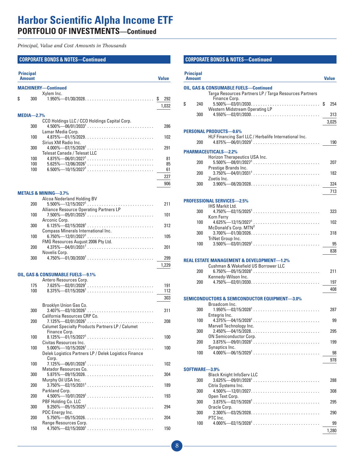*Principal, Value and Cost Amounts in Thousands*

#### **CORPORATE BONDS & NOTES—Continued**

| <b>Principal</b><br><b>Amount</b> |                                                                         | <b>Value</b> |
|-----------------------------------|-------------------------------------------------------------------------|--------------|
|                                   | <b>MACHINERY-Continued</b>                                              |              |
| \$<br>300                         | Xylem Inc.<br>$1.950\%$ - 01/30/2028                                    | \$<br>292    |
|                                   |                                                                         | 1,032        |
|                                   |                                                                         |              |
| <b>MEDIA-2.7%</b>                 |                                                                         |              |
| 300                               | CCO Holdings LLC / CCO Holdings Capital Corp.<br>Lamar Media Corp.      | 286          |
| 100                               | $4.875\%$ - 01/15/2029<br>Sirius XM Radio Inc.                          | 102          |
| 300                               | Telesat Canada / Telesat LLC                                            | 291          |
| 100<br>100                        |                                                                         | 81           |
| 100                               | $5.625\% - 12/06/2026$ <sup>1</sup><br>6.500%---10/15/2027 <sup>1</sup> | 85<br>61     |
|                                   |                                                                         | 227          |
|                                   |                                                                         | 906          |
|                                   |                                                                         |              |
|                                   | <b>METALS &amp; MINING-3.7%</b><br>Alcoa Nederland Holding BV           |              |
| 200                               |                                                                         | 211          |
|                                   | Alliance Resource Operating Partners LP                                 |              |
| 100                               | $7.500\%$ —05/01/2025 <sup>1</sup>                                      | 101          |
| 300                               | Arconic Corp.<br>Compass Minerals International Inc.                    | 312          |
| 100                               | $6.750\%$ —12/01/2027 <sup>1</sup>                                      | 105          |
|                                   | FMG Resources August 2006 Pty Ltd.                                      |              |
| 200                               | $4.375\%$ —04/01/2031 <sup>1</sup><br>Novelis Corp.                     | 201          |
| 300                               |                                                                         | 299          |
|                                   |                                                                         | 1,229        |
|                                   |                                                                         |              |
|                                   | OIL, GAS & CONSUMABLE FUELS-9.1%<br>Antero Resources Corp.              |              |
| 175                               |                                                                         | 191          |
| 100                               |                                                                         | 112          |
|                                   |                                                                         | 303          |
|                                   | Brooklyn Union Gas Co.                                                  |              |
| 300                               | California Resources CRP Co.                                            | 311          |
| 200                               |                                                                         | 208          |
|                                   | Calumet Specialty Products Partners LP / Calumet                        |              |
|                                   | Finance Corp.                                                           | 100          |
| 100                               | Civitas Resources Inc.                                                  |              |
| 100                               |                                                                         | 100          |
|                                   | Delek Logistics Partners LP / Delek Logistics Finance                   |              |
| 100                               | Corp.                                                                   | 102          |
|                                   | Matador Resources Co.                                                   |              |
| 300                               | $5.875\%$ - 09/15/2026                                                  | 304          |
| 200                               | Murphy Oil USA Inc.                                                     | 189          |
|                                   | Parkland Corp.                                                          |              |
| 200                               |                                                                         | 193          |
|                                   | PBF Holding Co. LLC                                                     |              |
| 300                               | PDC Energy Inc.                                                         | 294          |
| 200                               | $5.750\%$ - 05/15/2026                                                  | 204          |
| 150                               | Range Resources Corp.                                                   | 150          |
|                                   |                                                                         |              |

| <b>Principal</b><br><b>Amount</b> |     |                                                                                                            | <b>Value</b> |
|-----------------------------------|-----|------------------------------------------------------------------------------------------------------------|--------------|
|                                   |     | <b>OIL, GAS &amp; CONSUMABLE FUELS-Continued</b><br>Targa Resources Partners LP / Targa Resources Partners |              |
| \$                                | 240 | Finance Corp.<br>$5.500\%$ - 03/01/2030                                                                    | \$<br>254    |
|                                   | 300 | <b>Western Midstream Operating LP</b><br>$4.550\%$ - 02/01/2030                                            | 313          |
|                                   |     |                                                                                                            | 3,025        |
|                                   |     | <b>PERSONAL PRODUCTS-0.6%</b>                                                                              |              |
|                                   | 200 | HLF Financing Sarl LLC / Herbalife International Inc.                                                      | 190          |
|                                   |     | PHARMACEUTICALS-2.2%<br>Horizon Therapeutics USA Inc.                                                      |              |
|                                   | 200 |                                                                                                            | 207          |
|                                   | 200 | Prestige Brands Inc.<br>$3.750\%$ - 04/01/2031 <sup>1</sup>                                                | 182          |
|                                   | 300 | Zoetis Inc.                                                                                                | 324          |
|                                   |     |                                                                                                            | 713          |
|                                   |     | <b>PROFESSIONAL SERVICES-2.5%</b>                                                                          |              |
|                                   | 300 | <b>IHS Markit Ltd.</b><br>$4.750\%$ —02/15/2025 <sup>1</sup>                                               | 323          |
|                                   | 100 | Korn Ferry                                                                                                 | 102          |
|                                   | 300 | McDonald's Corp. MTN <sup>2</sup><br>$3.700\% - 01/30/2026$                                                | 318          |
|                                   | 100 | TriNet Group Inc.<br>$3.500\% - 03/01/2029$ <sup>1</sup>                                                   | 95           |
|                                   |     |                                                                                                            | 838          |
|                                   |     | REAL ESTATE MANAGEMENT & DEVELOPMENT-1.2%                                                                  |              |
|                                   | 200 | Cushman & Wakefield US Borrower LLC<br>$6.750\% - 05/15/2028^1$                                            | 211          |
|                                   | 200 | Kennedy-Wilson Inc.<br>$4.750\% - 02/01/2030$                                                              | 197          |
|                                   |     |                                                                                                            | 408          |
|                                   |     | <b>SEMICONDUCTORS &amp; SEMICONDUCTOR EQUIPMENT-3.0%</b>                                                   |              |
|                                   | 300 | Broadcom Inc.                                                                                              | 287          |
|                                   |     | Entearis Inc.                                                                                              |              |
|                                   | 100 | Marvell Technology Inc.                                                                                    | 99           |
|                                   | 300 | $2.450\%$ - 04/15/2028<br>ON Semiconductor Corp.                                                           | 295          |
|                                   | 200 | $3.875\%$ —09/01/2028 <sup>1</sup>                                                                         | 199          |
|                                   | 100 | Synaptics Inc.<br>$4.000\%$ —06/15/2029 <sup>1</sup>                                                       | 98           |
|                                   |     |                                                                                                            | 978          |
| SOFTWARE-3.9%                     |     | <b>Black Knight InfoServ LLC</b>                                                                           |              |
|                                   | 300 |                                                                                                            | 288          |
|                                   | 300 | Citrix Systems Inc.                                                                                        | 308          |
|                                   | 300 | Open Text Corp.<br>$3.875\%$ —02/15/2028 <sup>1</sup>                                                      | 295          |
|                                   | 300 | Oracle Corp.<br>$2.300\% - 03/25/2028$                                                                     | 290          |
|                                   | 100 | PTC Inc.                                                                                                   | 99           |
|                                   |     |                                                                                                            | 1,280        |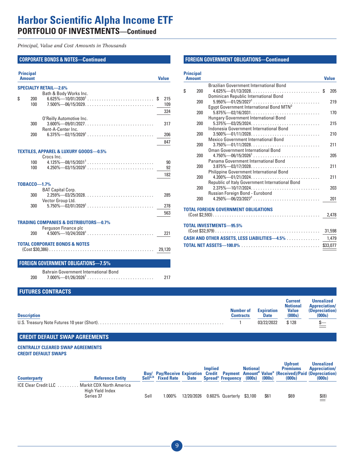*Principal, Value and Cost Amounts in Thousands*

#### **CORPORATE BONDS & NOTES—Continued**

| <b>Principal</b><br><b>Amount</b> |                                                    | <b>Value</b> |
|-----------------------------------|----------------------------------------------------|--------------|
|                                   | <b>SPECIALTY RETAIL-2.6%</b>                       |              |
|                                   | Bath & Body Works Inc.                             |              |
| \$<br>200                         |                                                    | 215<br>\$    |
| 100                               | $7.500\%$ - 06/15/2029                             | 109          |
|                                   |                                                    | 324          |
|                                   | O'Reilly Automotive Inc.                           |              |
| 300                               |                                                    | 317          |
|                                   | Rent-A-Center Inc.                                 |              |
| 200                               |                                                    | 206          |
|                                   |                                                    | 847          |
|                                   | <b>TEXTILES, APPAREL &amp; LUXURY GOODS-0.5%</b>   |              |
|                                   | Crocs Inc.                                         |              |
| 100                               | $4.125\% - 08/15/2031^1$                           | 90           |
| 100                               |                                                    | 92           |
|                                   |                                                    | 182          |
|                                   |                                                    |              |
| <b>TOBACCO-1.7%</b>               |                                                    |              |
| 300                               | <b>BAT Capital Corp.</b><br>$2.259\% - 03/25/2028$ | 285          |
|                                   | Vector Group Ltd.                                  |              |
| 300                               |                                                    | 278          |
|                                   |                                                    | 563          |
|                                   |                                                    |              |
|                                   | <b>TRADING COMPANIES &amp; DISTRIBUTORS-0.7%</b>   |              |
| 200                               | Ferguson Finance plc                               | 221          |
|                                   |                                                    |              |
|                                   | <b>TOTAL CORPORATE BONDS &amp; NOTES</b>           |              |
|                                   |                                                    | 29.120       |
|                                   |                                                    |              |
|                                   | <b>FOREIGN GOVERNMENT OBLIGATIONS-7.5%</b>         |              |
|                                   | <b>Bahrain Government International Bond</b>       |              |
| 200                               |                                                    | 217          |

#### **FOREIGN GOVERNMENT OBLIGATIONS—Continued**

| <b>Principal</b><br><b>Amount</b> |                                                                        | <b>Value</b> |
|-----------------------------------|------------------------------------------------------------------------|--------------|
|                                   | <b>Brazilian Government International Bond</b>                         |              |
| \$<br>200                         |                                                                        | 205          |
|                                   | Dominican Republic International Bond                                  |              |
| 200                               |                                                                        | 219          |
|                                   | Egypt Government International Bond MTN <sup>2</sup>                   |              |
| 200                               | $5.875\%$ - 02/16/2031                                                 | 170          |
| 200                               | <b>Hungary Government International Bond</b><br>$5.375\%$ - 03/25/2024 | 215          |
|                                   | Indonesia Government International Bond                                |              |
| 200                               | $3.500\%$ - 01/11/2028                                                 | 210          |
|                                   | Mexico Government International Bond                                   |              |
| 200                               | $3.750\%$ - 01/11/2028                                                 | 211          |
|                                   | Oman Government International Bond                                     |              |
| 200                               |                                                                        | 205          |
|                                   | Panama Government International Bond                                   |              |
| 200                               | $3.875\%$ - 03/17/2028                                                 | 211          |
|                                   | Philippine Government International Bond                               |              |
| 200                               |                                                                        | 211          |
|                                   | <b>Republic of Italy Government International Bond</b>                 |              |
| 200                               | $2.375\%$ - 10/17/2024                                                 | 203          |
|                                   | Russian Foreign Bond - Eurobond                                        |              |
| 200                               |                                                                        | 201          |
|                                   | TOTAL FOREIGN GOVERNMENT OBLIGATIONS                                   |              |
|                                   |                                                                        | 2,478        |
|                                   |                                                                        |              |
|                                   | TOTAL INVESTMENTS-95.5%                                                |              |
|                                   |                                                                        |              |
|                                   | CASH AND OTHER ASSETS, LESS LIABILITIES-4.5%                           | 1,479        |
|                                   |                                                                        |              |
|                                   |                                                                        |              |

#### **FUTURES CONTRACTS**

|                    |                  |                   | Current         | <b>Unrealized</b>    |
|--------------------|------------------|-------------------|-----------------|----------------------|
|                    |                  |                   | <b>Notional</b> | <b>Appreciation/</b> |
|                    | Number of        | <b>Expiration</b> | <b>Value</b>    | (Depreciation)       |
| <b>Description</b> | <b>Contracts</b> | <b>Date</b>       | (000s)          | (000s)               |
|                    |                  | 03/22/2022        | \$128           |                      |

#### **CREDIT DEFAULT SWAP AGREEMENTS**

#### **CENTRALLY CLEARED SWAP AGREEMENTS CREDIT DEFAULT SWAPS**

| <b>Counterparty</b>  | <b>Reference Entity</b>                                     | Buv/<br>Sell <sup>a,b</sup> | <b>Fixed Rate</b> | <b>Date</b> | Implied | <b>Spread Frequency</b>             | <b>Notional</b><br>(000s) | (000s)      | Upfront<br><b>Premiums</b><br>Pay/Receive Expiration Credit Payment Amount <sup>d</sup> Value <sup>e</sup> (Received)/Paid (Depreciation)<br>(000s) | <b>Unrealized</b><br><b>Appreciation/</b><br>(000s) |
|----------------------|-------------------------------------------------------------|-----------------------------|-------------------|-------------|---------|-------------------------------------|---------------------------|-------------|-----------------------------------------------------------------------------------------------------------------------------------------------------|-----------------------------------------------------|
| ICE Clear Credit LLC | . Markit CDX North America<br>High Yield Index<br>Series 37 | Sell                        | 000%. ا           |             |         | 12/20/2026 0.602% Quarterly \$3,100 |                           | <b>\$61</b> | \$69                                                                                                                                                | $$^{(8)}$                                           |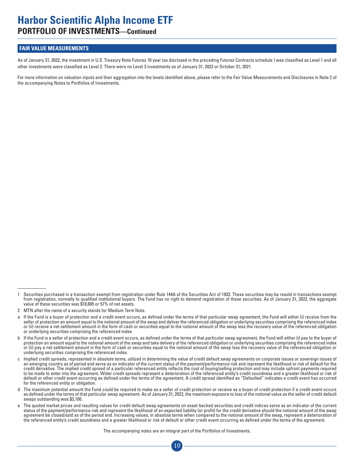#### **FAIR VALUE MEASUREMENTS**

As of January 31, 2022, the investment in U.S. Treasury Note Futures 10 year (as disclosed in the preceding Futures Contracts schedule ) was classified as Level 1 and all other investments were classified as Level 2. There were no Level 3 investments as of January 31, 2022 or October 31, 2021.

For more information on valuation inputs and their aggregation into the levels identified above, please refer to the Fair Value Measurements and Disclosures in Note 2 of the accompanying Notes to Portfolios of Investments.

- a If the Fund is a buyer of protection and a credit event occurs, as defined under the terms of that particular swap agreement, the Fund will either (i) receive from the seller of protection an amount equal to the notional amount of the swap and deliver the referenced obligation or underlying securities comprising the referenced index or (ii) receive a net settlement amount in the form of cash or securities equal to the notional amount of the swap less the recovery value of the referenced obligation or underlying securities comprising the referenced index.
- b If the Fund is a seller of protection and a credit event occurs, as defined under the terms of that particular swap agreement, the Fund will either (i) pay to the buyer of protection an amount equal to the notional amount of the swap and take delivery of the referenced obligation or underlying securities comprising the referenced index or (ii) pay a net settlement amount in the form of cash or securities equal to the notional amount of the swap less the recovery value of the referenced obligation or underlying securities comprising the referenced index.
- c Implied credit spreads, represented in absolute terms, utilized in determining the value of credit default swap agreements on corporate issues or sovereign issues of an emerging country as of period end serve as an indicator of the current status of the payment/performance risk and represent the likelihood or risk of default for the credit derivative. The implied credit spread of a particular referenced entity reflects the cost of buying/selling protection and may include upfront payments required to be made to enter into the agreement. Wider credit spreads represent a deterioration of the referenced entity's credit soundness and a greater likelihood or risk of default or other credit event occurring as defined under the terms of the agreement. A credit spread identified as "Defaulted" indicates a credit event has occurred for the referenced entity or obligation.
- d The maximum potential amount the Fund could be required to make as a seller of credit protection or receive as a buyer of credit protection if a credit event occurs as defined under the terms of that particular swap agreement. As of January 31, 2022, the maximum exposure to loss of the notional value as the seller of credit default swaps outstanding was \$3,100.
- e The quoted market prices and resulting values for credit default swap agreements on asset-backed securities and credit indices serve as an indicator of the current status of the payment/performance risk and represent the likelihood of an expected liability (or profit) for the credit derivative should the notional amount of the swap agreement be closed/sold as of the period end. Increasing values, in absolute terms when compared to the notional amount of the swap, represent a deterioration of the referenced entity's credit soundness and a greater likelihood or risk of default or other credit event occurring as defined under the terms of the agreement.

The accompanying notes are an integral part of the Portfolios of Investments.

<sup>1</sup> Securities purchased in a transaction exempt from registration under Rule 144A of the Securities Act of 1933. These securities may be resold in transactions exempt from registration, normally to qualified institutional buyers. The Fund has no right to demand registration of these securities. As of January 31, 2022, the aggregate value of these securities was \$18,665 or 57% of net assets.

<sup>2</sup> MTN after the name of a security stands for Medium Term Note.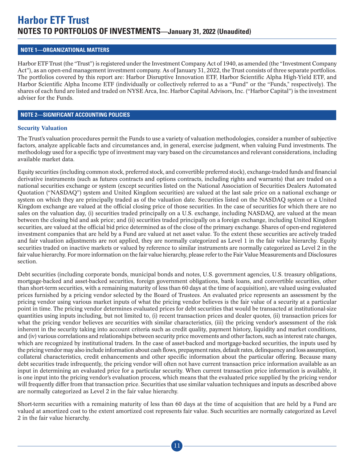#### <span id="page-13-0"></span>**NOTE 1—ORGANIZATIONAL MATTERS**

Harbor ETF Trust (the "Trust") is registered under the Investment Company Act of 1940, as amended (the "Investment Company Act"), as an open-end management investment company. As of January 31, 2022, the Trust consists of three separate portfolios. The portfolios covered by this report are: Harbor Disruptive Innovation ETF, Harbor Scientific Alpha High-Yield ETF, and Harbor Scientific Alpha Income ETF (individually or collectively referred to as a "Fund" or the "Funds," respectively). The shares of each fund are listed and traded on NYSE Arca, Inc. Harbor Capital Advisors, Inc. ("Harbor Capital") is the investment adviser for the Funds.

#### **NOTE 2—SIGNIFICANT ACCOUNTING POLICIES**

#### Security Valuation

The Trust's valuation procedures permit the Funds to use a variety of valuation methodologies, consider a number of subjective factors, analyze applicable facts and circumstances and, in general, exercise judgment, when valuing Fund investments. The methodology used for a specific type of investment may vary based on the circumstances and relevant considerations, including available market data.

Equity securities (including common stock, preferred stock, and convertible preferred stock), exchange-traded funds and financial derivative instruments (such as futures contracts and options contracts, including rights and warrants) that are traded on a national securities exchange or system (except securities listed on the National Association of Securities Dealers Automated Quotation ("NASDAQ") system and United Kingdom securities) are valued at the last sale price on a national exchange or system on which they are principally traded as of the valuation date. Securities listed on the NASDAQ system or a United Kingdom exchange are valued at the official closing price of those securities. In the case of securities for which there are no sales on the valuation day, (i) securities traded principally on a U.S. exchange, including NASDAQ, are valued at the mean between the closing bid and ask price; and (ii) securities traded principally on a foreign exchange, including United Kingdom securities, are valued at the official bid price determined as of the close of the primary exchange. Shares of open-end registered investment companies that are held by a Fund are valued at net asset value. To the extent these securities are actively traded and fair valuation adjustments are not applied, they are normally categorized as Level 1 in the fair value hierarchy. Equity securities traded on inactive markets or valued by reference to similar instruments are normally categorized as Level 2 in the fair value hierarchy. For more information on the fair value hierarchy, please refer to the Fair Value Measurements and Disclosures section.

Debt securities (including corporate bonds, municipal bonds and notes, U.S. government agencies, U.S. treasury obligations, mortgage-backed and asset-backed securities, foreign government obligations, bank loans, and convertible securities, other than short-term securities, with a remaining maturity of less than 60 days at the time of acquisition), are valued using evaluated prices furnished by a pricing vendor selected by the Board of Trustees. An evaluated price represents an assessment by the pricing vendor using various market inputs of what the pricing vendor believes is the fair value of a security at a particular point in time. The pricing vendor determines evaluated prices for debt securities that would be transacted at institutional-size quantities using inputs including, but not limited to, (i) recent transaction prices and dealer quotes, (ii) transaction prices for what the pricing vendor believes are securities with similar characteristics, (iii) the pricing vendor's assessment of the risk inherent in the security taking into account criteria such as credit quality, payment history, liquidity and market conditions, and (iv) various correlations and relationships between security price movements and other factors, such as interest rate changes, which are recognized by institutional traders. In the case of asset-backed and mortgage-backed securities, the inputs used by the pricing vendor may also include information about cash flows, prepayment rates, default rates, delinquency and loss assumption, collateral characteristics, credit enhancements and other specific information about the particular offering. Because many debt securities trade infrequently, the pricing vendor will often not have current transaction price information available as an input in determining an evaluated price for a particular security. When current transaction price information is available, it is one input into the pricing vendor's evaluation process, which means that the evaluated price supplied by the pricing vendor will frequently differ from that transaction price. Securities that use similar valuation techniques and inputs as described above are normally categorized as Level 2 in the fair value hierarchy.

Short-term securities with a remaining maturity of less than 60 days at the time of acquisition that are held by a Fund are valued at amortized cost to the extent amortized cost represents fair value. Such securities are normally categorized as Level 2 in the fair value hierarchy.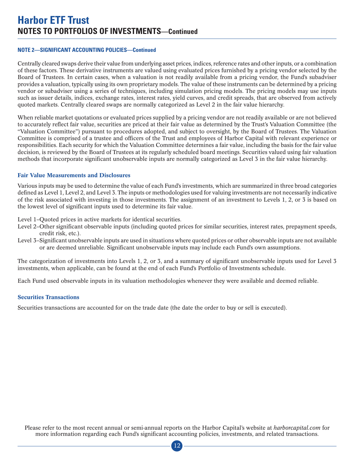#### **NOTE 2—SIGNIFICANT ACCOUNTING POLICIES—Continued**

Centrally cleared swaps derive their value from underlying asset prices, indices, reference rates and other inputs, or a combination of these factors. These derivative instruments are valued using evaluated prices furnished by a pricing vendor selected by the Board of Trustees. In certain cases, when a valuation is not readily available from a pricing vendor, the Fund's subadviser provides a valuation, typically using its own proprietary models. The value of these instruments can be determined by a pricing vendor or subadviser using a series of techniques, including simulation pricing models. The pricing models may use inputs such as issuer details, indices, exchange rates, interest rates, yield curves, and credit spreads, that are observed from actively quoted markets. Centrally cleared swaps are normally categorized as Level 2 in the fair value hierarchy.

When reliable market quotations or evaluated prices supplied by a pricing vendor are not readily available or are not believed to accurately reflect fair value, securities are priced at their fair value as determined by the Trust's Valuation Committee (the "Valuation Committee") pursuant to procedures adopted, and subject to oversight, by the Board of Trustees. The Valuation Committee is comprised of a trustee and officers of the Trust and employees of Harbor Capital with relevant experience or responsibilities. Each security for which the Valuation Committee determines a fair value, including the basis for the fair value decision, is reviewed by the Board of Trustees at its regularly scheduled board meetings. Securities valued using fair valuation methods that incorporate significant unobservable inputs are normally categorized as Level 3 in the fair value hierarchy.

#### Fair Value Measurements and Disclosures

Various inputs may be used to determine the value of each Fund's investments, which are summarized in three broad categories defined as Level 1, Level 2, and Level 3. The inputs or methodologies used for valuing investments are not necessarily indicative of the risk associated with investing in those investments. The assignment of an investment to Levels 1, 2, or 3 is based on the lowest level of significant inputs used to determine its fair value.

Level 1–Quoted prices in active markets for identical securities.

- Level 2–Other significant observable inputs (including quoted prices for similar securities, interest rates, prepayment speeds, credit risk, etc.).
- Level 3–Significant unobservable inputs are used in situations where quoted prices or other observable inputs are not available or are deemed unreliable. Significant unobservable inputs may include each Fund's own assumptions.

The categorization of investments into Levels 1, 2, or 3, and a summary of significant unobservable inputs used for Level 3 investments, when applicable, can be found at the end of each Fund's Portfolio of Investments schedule.

Each Fund used observable inputs in its valuation methodologies whenever they were available and deemed reliable.

#### Securities Transactions

Securities transactions are accounted for on the trade date (the date the order to buy or sell is executed).

Please refer to the most recent annual or semi-annual reports on the Harbor Capital's website at *harborcapital.com* for more information regarding each Fund's significant accounting policies, investments, and related transactions.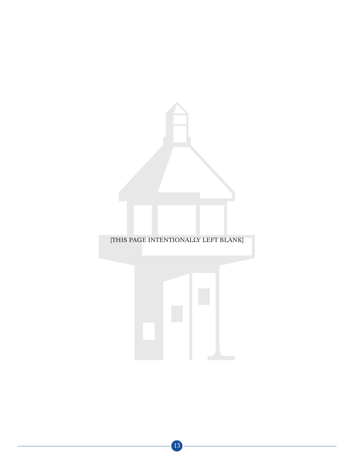